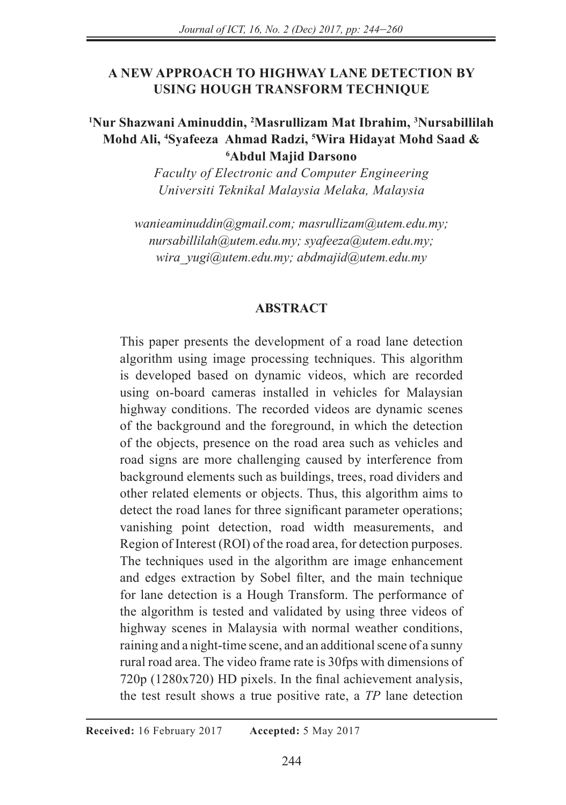## **A NEW APPROACH TO HIGHWAY LANE DETECTION BY USING HOUGH TRANSFORM TECHNIQUE**

## **1 Nur Shazwani Aminuddin, 2 Masrullizam Mat Ibrahim, 3 Nursabillilah Mohd Ali, 4 Syafeeza Ahmad Radzi, 5 Wira Hidayat Mohd Saad & 6 Abdul Majid Darsono**

*Faculty of Electronic and Computer Engineering Universiti Teknikal Malaysia Melaka, Malaysia*

*wanieaminuddin@gmail.com; masrullizam@utem.edu.my; nursabillilah@utem.edu.my; syafeeza@utem.edu.my; wira\_yugi@utem.edu.my; abdmajid@utem.edu.my*

### **ABSTRACT**

This paper presents the development of a road lane detection algorithm using image processing techniques. This algorithm is developed based on dynamic videos, which are recorded using on-board cameras installed in vehicles for Malaysian highway conditions. The recorded videos are dynamic scenes of the background and the foreground, in which the detection of the objects, presence on the road area such as vehicles and road signs are more challenging caused by interference from background elements such as buildings, trees, road dividers and other related elements or objects. Thus, this algorithm aims to detect the road lanes for three significant parameter operations; vanishing point detection, road width measurements, and Region of Interest (ROI) of the road area, for detection purposes. The techniques used in the algorithm are image enhancement and edges extraction by Sobel filter, and the main technique for lane detection is a Hough Transform. The performance of the algorithm is tested and validated by using three videos of highway scenes in Malaysia with normal weather conditions, raining and a night-time scene, and an additional scene of a sunny rural road area. The video frame rate is 30fps with dimensions of 720p (1280x720) HD pixels. In the final achievement analysis, the test result shows a true positive rate, a *TP* lane detection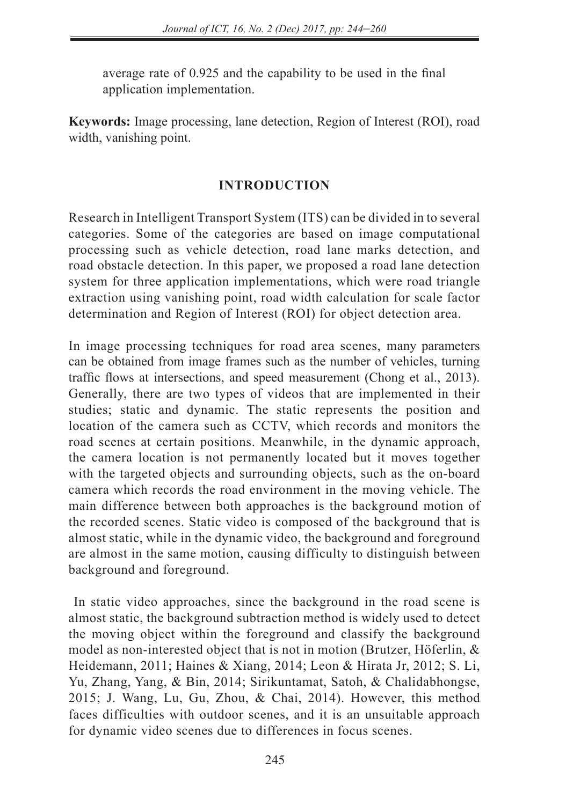average rate of 0.925 and the capability to be used in the final application implementation.

**Keywords:** Image processing, lane detection, Region of Interest (ROI), road width, vanishing point.

## **INTRODUCTION**

Research in Intelligent Transport System (ITS) can be divided in to several categories. Some of the categories are based on image computational processing such as vehicle detection, road lane marks detection, and road obstacle detection. In this paper, we proposed a road lane detection system for three application implementations, which were road triangle extraction using vanishing point, road width calculation for scale factor determination and Region of Interest (ROI) for object detection area.

In image processing techniques for road area scenes, many parameters can be obtained from image frames such as the number of vehicles, turning traffic flows at intersections, and speed measurement (Chong et al., 2013). Generally, there are two types of videos that are implemented in their studies; static and dynamic. The static represents the position and location of the camera such as CCTV, which records and monitors the road scenes at certain positions. Meanwhile, in the dynamic approach, the camera location is not permanently located but it moves together with the targeted objects and surrounding objects, such as the on-board camera which records the road environment in the moving vehicle. The main difference between both approaches is the background motion of the recorded scenes. Static video is composed of the background that is almost static, while in the dynamic video, the background and foreground are almost in the same motion, causing difficulty to distinguish between background and foreground.

 In static video approaches, since the background in the road scene is almost static, the background subtraction method is widely used to detect the moving object within the foreground and classify the background model as non-interested object that is not in motion (Brutzer, Höferlin, & Heidemann, 2011; Haines & Xiang, 2014; Leon & Hirata Jr, 2012; S. Li, Yu, Zhang, Yang, & Bin, 2014; Sirikuntamat, Satoh, & Chalidabhongse, 2015; J. Wang, Lu, Gu, Zhou, & Chai, 2014). However, this method faces difficulties with outdoor scenes, and it is an unsuitable approach for dynamic video scenes due to differences in focus scenes.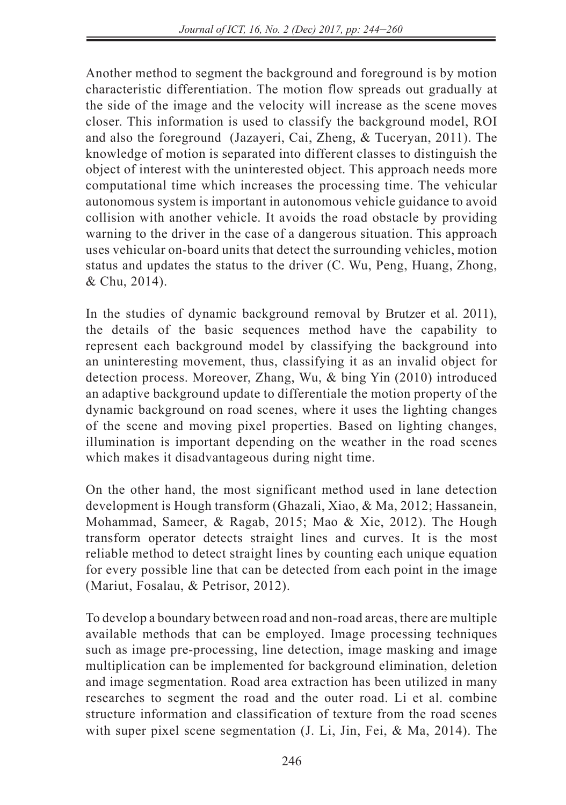Another method to segment the background and foreground is by motion characteristic differentiation. The motion flow spreads out gradually at the side of the image and the velocity will increase as the scene moves closer. This information is used to classify the background model, ROI and also the foreground (Jazayeri, Cai, Zheng, & Tuceryan, 2011). The knowledge of motion is separated into different classes to distinguish the object of interest with the uninterested object. This approach needs more computational time which increases the processing time. The vehicular autonomous system is important in autonomous vehicle guidance to avoid collision with another vehicle. It avoids the road obstacle by providing warning to the driver in the case of a dangerous situation. This approach uses vehicular on-board units that detect the surrounding vehicles, motion status and updates the status to the driver (C. Wu, Peng, Huang, Zhong, & Chu, 2014).

In the studies of dynamic background removal by Brutzer et al. 2011), the details of the basic sequences method have the capability to represent each background model by classifying the background into an uninteresting movement, thus, classifying it as an invalid object for detection process. Moreover, Zhang, Wu, & bing Yin (2010) introduced an adaptive background update to differentiale the motion property of the dynamic background on road scenes, where it uses the lighting changes of the scene and moving pixel properties. Based on lighting changes, illumination is important depending on the weather in the road scenes which makes it disadvantageous during night time.

On the other hand, the most significant method used in lane detection development is Hough transform (Ghazali, Xiao, & Ma, 2012; Hassanein, Mohammad, Sameer, & Ragab, 2015; Mao & Xie, 2012). The Hough transform operator detects straight lines and curves. It is the most reliable method to detect straight lines by counting each unique equation for every possible line that can be detected from each point in the image (Mariut, Fosalau, & Petrisor, 2012).

To develop a boundary between road and non-road areas, there are multiple available methods that can be employed. Image processing techniques such as image pre-processing, line detection, image masking and image multiplication can be implemented for background elimination, deletion and image segmentation. Road area extraction has been utilized in many researches to segment the road and the outer road. Li et al. combine structure information and classification of texture from the road scenes with super pixel scene segmentation (J. Li, Jin, Fei, & Ma, 2014). The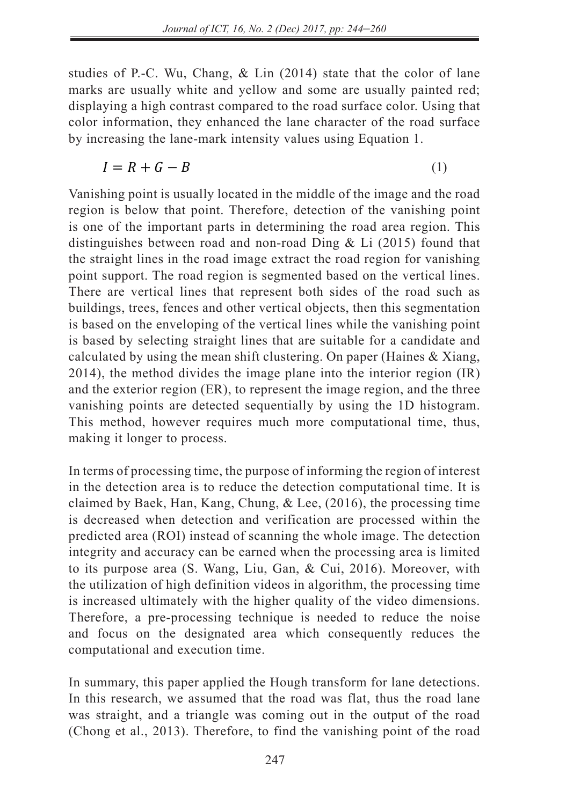studies of P.-C. Wu, Chang, & Lin (2014) state that the color of lane marks are usually white and yellow and some are usually painted red; displaying a high contrast compared to the road surface color. Using that color information, they enhanced the lane character of the road surface by increasing the lane-mark intensity values using Equation 1.

$$
I = R + G - B \tag{1}
$$

Vanishing point is usually located in the middle of the image and the road region is below that point. Therefore, detection of the vanishing point is one of the important parts in determining the road area region. This distinguishes between road and non-road Ding & Li (2015) found that the straight lines in the road image extract the road region for vanishing the straight lines in the road image extract the road region for vanishing<br>point support. The road region is segmented based on the vertical lines. There are vertical lines that represent both sides of the road such as buildings, trees, fences and other vertical objects, then this segmentation bundings, trees, renees and other vertical lines while the vanishing point is based on the enveloping of the vertical lines while the vanishing point is based on the enveloping of the vertical lines while the vanishing point is based by selecting straight lines that are suitable for a candidate and calculated by using the mean shift clustering. On paper (Haines & Xiang, 2014), the method divides the image plane into the interior region (IR) and the exterior region  $(ER)$ , to represent the image region, and the three vanishing points are detected sequentially by using the 1D histogram. This method, however requires much more computational time, thus, making it longer to process. − 0<br>− 0<br>− 0 − 0 − 0<br>− 0<br>− 0

In terms of processing time, the purpose of informing the region of interest in the detection area is to reduce the detection computational time. It is  $\frac{1}{2}$ claimed by Baek, Han, Kang, Chung, & Lee, (2016), the processing time is decreased when detection and verification are processed within the predicted area (ROI) instead of scanning the whole image. The detection integrity and accuracy can be earned when the processing area is limited to its purpose area (S. Wang, Liu, Gan, & Cui, 2016). Moreover, with the utilization of high definition videos in algorithm, the processing time<br>is increased ultimately with the higher quality of the video dimensions is increased ultimately with the higher quality of the video dimensions. Therefore, a pre-processing technique is needed to reduce the noise and focus on the designated area which consequently reduces the computational and execution time.

In summary, this paper applied the Hough transform for lane detections. In summary, this paper applied the road marked in an educations.<br>In this research, we assumed that the road was flat, thus the road lane was straight, and a triangle was coming out in the output of the road (Chong et al., 2013). Therefore, to find the vanishing point of the road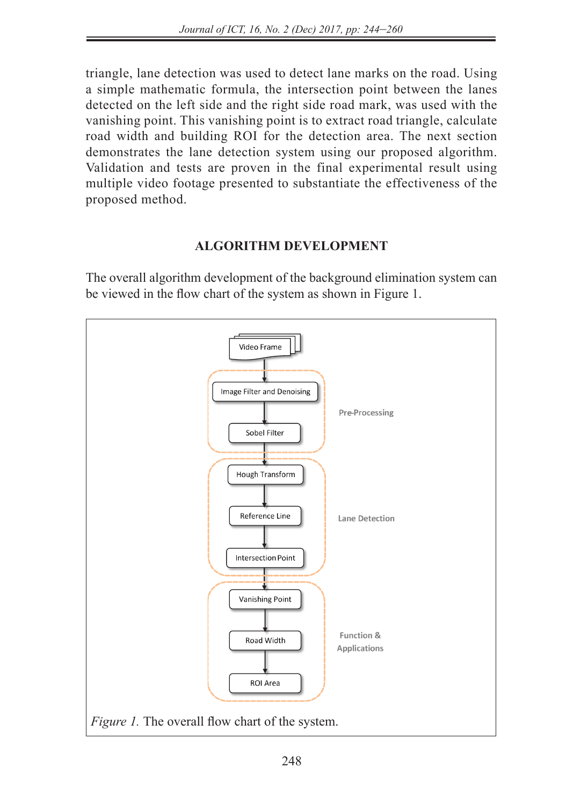triangle, lane detection was used to detect lane marks on the road. Using a simple mathematic formula, the intersection point between the lanes detected on the left side and the right side road mark, was used with the vanishing point. This vanishing point is to extract road triangle, calculate road width and building ROI for the detection area. The next section demonstrates the lane detection system using our proposed algorithm. Validation and tests are proven in the final experimental result using multiple video footage presented to substantiate the effectiveness of the proposed method.

## **ALGORITHM DEVELOPMENT**

The overall algorithm development of the background elimination system can be viewed in the flow chart of the system as shown in Figure 1.

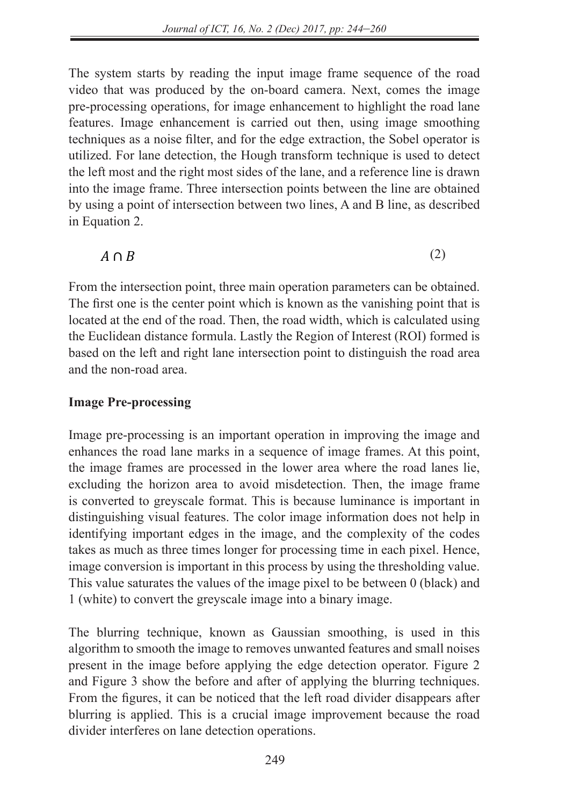The system starts by reading the input image frame sequence of the road video that was produced by the on-board camera. Next, comes the image pre-processing operations, for image enhancement to highlight the road lane features. Image enhancement is carried out then, using image smoothing techniques as a noise filter, and for the edge extraction, the Sobel operator is utilized. For lane detection, the Hough transform technique is used to detect the left meet and the right meet sides of the lane and a reference line is drawn the left most and the right most sides of the lane, and a reference line is drawn into the image frame. Three intersection points between the line are obtained by using a point of intersection between two lines, A and B line, as described in Equation 2.

#### $A \cap B$  (2)  $A \cap B$

From the intersection point, three main operation parameters can be obtained. The first one is the center point which is known as the vanishing point that is  $\frac{1}{2}$  $\frac{1}{2}$  located at the end of the road. Then, the road width, which is calculated using  $\frac{1}{2}$ the Euclidean distance formula. Lastly the Region of Interest (ROI) formed is based on the left and right lane intersection point to distinguish the road area and the non-road area.

## **Image Pre-processing**

Image pre-processing is an important operation in improving the image and enhances the road lane marks in a sequence of image frames. At this point, the image frames are processed in the lower area where the road lanes lie,  $excluding$  the horizon area to avoid misdetection. Then, the image frame is converted to greyscale format. This is because luminance is important in distinguishing visual features. The color image information does not help in identifying important edges in the image, and the complexity of the codes takes as much as three times longer for processing time in each pixel. Hence, image conversion is important in this process by using the thresholding value. This value saturates the values of the image pixel to be between  $\overline{0}$  (black) and 1 (white) to convert the greyscale image into a binary image.

The blurring technique, known as Gaussian smoothing, is used in this algorithm to smooth the image to removes unwanted features and small noises present in the image before applying the edge detection operator. Figure 2 and Figure 3 show the before and after of applying the blurring techniques.<br>From the figures it can be noticed that the left road divider disappears after From the figures, it can be noticed that the left road divider disappears after  $\frac{1}{2}$ blurring is applied. This is a crucial image improvement because the road divider interferes on lane detection operations.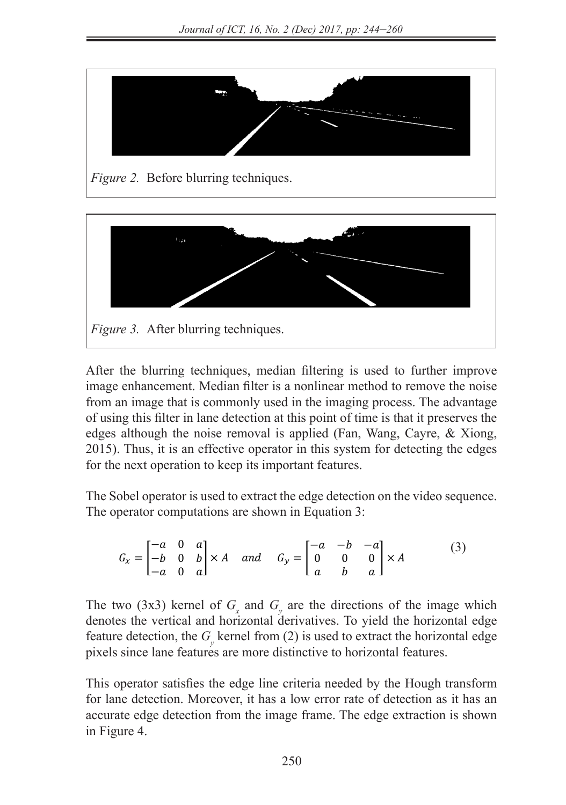



After the blurring techniques, median filtering is used to further improve image enhancement. Median filter is a nonlinear method to remove the noise from an image that is commonly used in the imaging process. The advantage of using this filter in lane detection at this point of time is that it preserves the edges although the noise removal is applied (Fan, Wang, Cayre,  $&$  Xiong, 2015). Thus, it is an effective operator in this system for detecting the edges for the next operation to keep its important features.

The Sobel operator is used to extract the edge detection on the video sequence. The operator computations are shown in Equation 3:

$$
G_x = \begin{bmatrix} -a & 0 & a \\ -b & 0 & b \\ -a & 0 & a \end{bmatrix} \times A \quad and \quad G_y = \begin{bmatrix} -a & -b & -a \\ 0 & 0 & 0 \\ a & b & a \end{bmatrix} \times A \tag{3}
$$

The two (3x3) kernel of  $G_x$  and  $G_y$  are the directions of the image which denotes the vertical and horizontal derivatives. To yield the horizontal edge feature detection, the  $G<sub>y</sub>$  kernel from (2) is used to extract the horizontal edge pixels since lane features are more distinctive to horizontal features.

This operator satisfies the edge line criteria needed by the Hough transform for lane detection. Moreover, it has a low error rate of detection as it has an accurate edge detection from the image frame. The edge extraction is shown in Figure 4.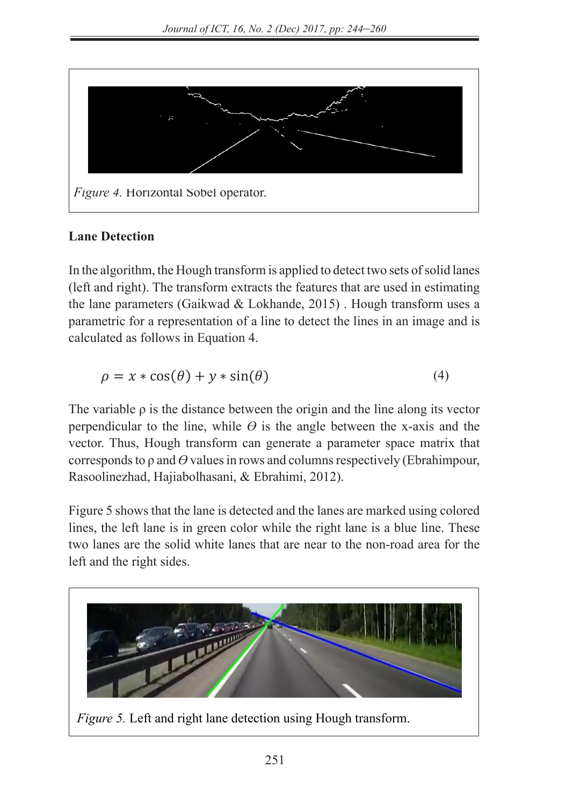

### **Lane Detection**  $\mathbf{r}$  is the lines are intersect at the road lanes that intersect at the peak of the peak of the image. The point

In the algorithm, the Hough transform is applied to detect two sets of solid lanes (left and right). The transform extracts the features that are used in estimating the lane parameters (Gaikwad & Lokhande, 2015) . Hough transform uses a parametric for a representation of a line to detect the lines in an image and is  $\alpha$  calculated as follows in Equation 4.  $\frac{1}{2}$ **Lane Detection** calculated as follows in Equation 4. of intersection at the road end points at the vanishing point.

$$
\rho = x * \cos(\theta) + y * \sin(\theta) \tag{4}
$$

The variable  $\rho$  is the distance between the origin and the line along its vector perpendicular to the line, while  $\theta$  is the angle between the x-axis and the vector. Thus, Hough transform can generate a parameter space matrix that corresponds to ρ and *ϴ* values in rows and columns respectively (Ebrahimpour, Rasoolinezhad, Hajiabolhasani, & Ebrahimi, 2012).

> Figure 5 shows that the lane is detected and the lanes are marked using colored lines, the left lane is in green color while the right lane is a blue line. These two lanes are the solid white lanes that are near to the non-road area for the left and the right sides.

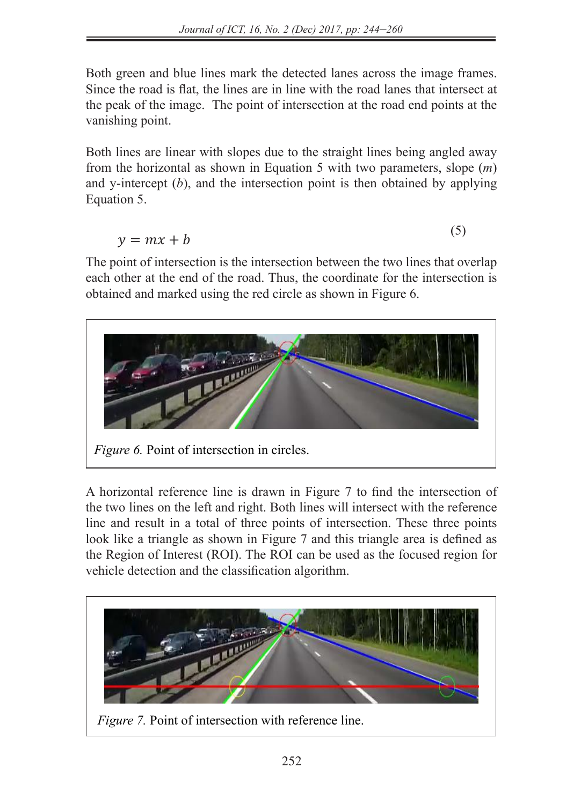Both green and blue lines mark the detected lanes across the image frames. Since the road is flat, the lines are in line with the road lanes that intersect at the road is flat, the lines are in line with the road lanes that intersect at the peak of the image. The point of intersection at the road end points at the vanishing point. *Fainsming point.* 

Both lines are linear with slopes due to the straight lines being angled away from the horizontal as shown in Equation 5 with two parameters, slope (*m*) and y-intercept  $(b)$ , and the intersection point is then obtained by applying Equation 5. Equation 5.  $\Gamma$ 

> $\mathbf{r} = \mathbf{r} \cdot \mathbf{r} + \mathbf{r}$  (5)  $v = mx + b$  $y = mx + b$

The point of intersection is the intersection between the two lines that overlap each other at the end of the road. Thus, the coordinate for the intersection is obtained and marked using the red circle as shown in Figure 6.



A horizontal reference line is drawn in Figure 7 to find the intersection of the two lines on the left and right. Both lines will intersect with the reference line and result in a total of three points of intersection. These three points look like a triangle as shown in Figure 7 and this triangle area is defined as the Begion of Interest  $(BOI)$ . The BOI can be used as the focused region for the Region of Interest (ROI). The ROI can be used as the focused region for vehicle detection and the classification algorithm. the Region of Interest (ROI). The ROI can be used as the focused region for

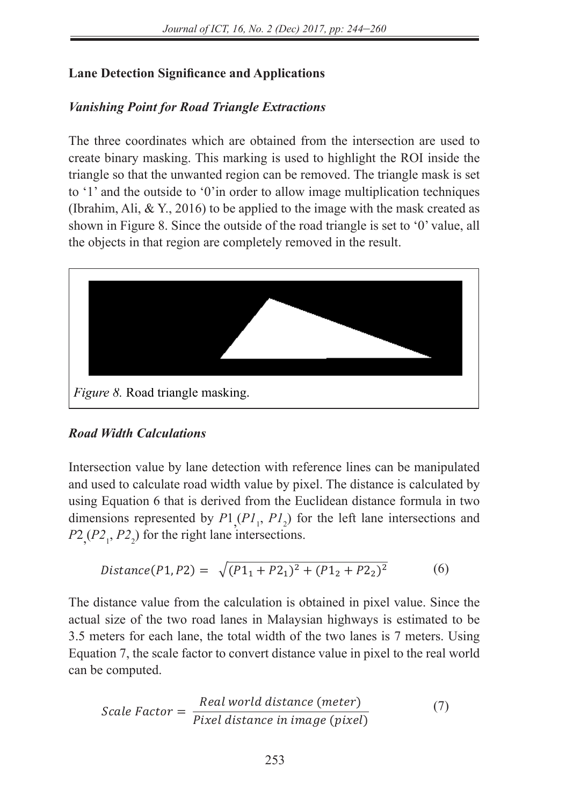## **Lane Detection Significance and Applications**

## *Vanishing Point for Road Triangle Extractions*

The three coordinates which are obtained from the intersection are used to create binary masking. This marking is used to highlight the ROI inside the triangle so that the unwanted region can be removed. The triangle mask is set to '1' and the outside to '0'in order to allow image multiplication techniques (Ibrahim, Ali, & Y., 2016) to be applied to the image with the mask created as shown in Figure 8. Since the outside of the road triangle is set to '0' value, all the objects in that region are completely removed in the result.



# **Road Width Calculations**

Intersection value by lane detection with reference lines can be manipulated and used to calculate road width value by pixel. The distance is calculated by using Equation 6 that is derived from the Euclidean distance formula in two dimensions represented by  $P1_{,}(PI_1, PI_2)$  for the left lane intersections and  $P2,(P2_1, P2_2)$  for the right lane intersections.

$$
Distance(P1, P2) = \sqrt{(P1_1 + P2_1)^2 + (P1_2 + P2_2)^2}
$$
 (6)

The distance value from the calculation is obtained in pixel value. Since the actual size of the two road lanes in Malaysian highways is estimated to be 3.5 meters for each lane, the total width of the two lanes is 7 meters. Using Equation 7, the scale factor to convert distance value in pixel to the real world can be computed can be computed.

Scale Factor = 
$$
\frac{Real world distance (meter)}{pixel distance in image (pixel)}
$$
 (7)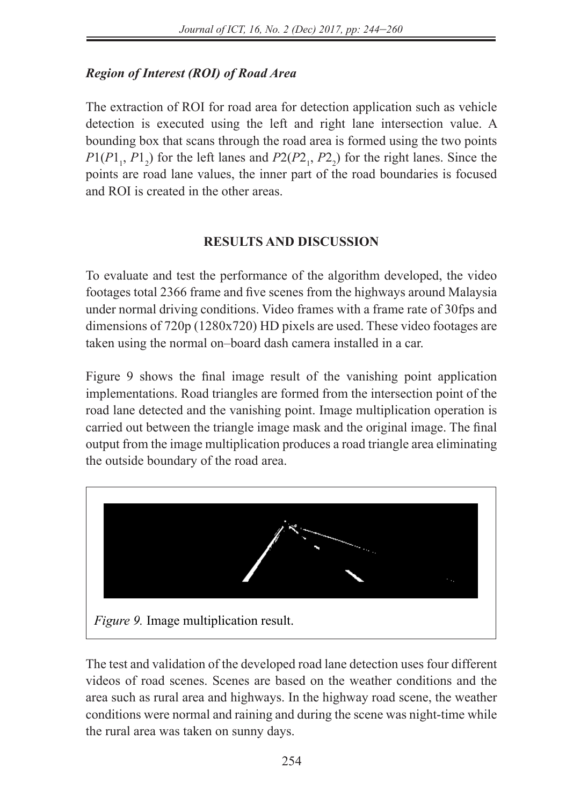## $Region of Interest (ROI) of Road Area$

The extraction of ROI for road area for detection application such as vehicle detection is executed using the left and right lane intersection value. A bounding box that scans through the road area is formed using the two points  $P1(P1_1, P1_2)$  for the left lanes and  $P2(P2_1, P2_2)$  for the right lanes. Since the points are road lane values, the inner part of the road boundaries is focused and ROI is created in the other areas.

## **RESULTS AND DISCUSSION**

To evaluate and test the performance of the algorithm developed, the video footages total 2366 frame and five scenes from the highways around Malaysia road triangles counters of the intersections. Video frame intersection point of the road in the road triangles dimensions of 720p (1280x720) HD pixels are used. These video footages are taken using the normal on–board dash camera installed in a car.

Figure 9 shows the final image result of the vanishing point application implementations. Road triangles are formed from the intersection point of the mprementations. Road thanges are formed from the intersection point of the road lane detected and the vanishing point. Image multiplication operation is carried out between the triangle image mask and the original image. The final output from the image multiplication produces a road triangle area eliminating the outside boundary of the road area.



The test and validation of the developed road lane detection uses four different videos of road scenes. Scenes are based on the weather conditions and the area such as rural area and highways. In the highway road scene, the weather conditions were normal and raining and during the scene was night-time while the rural area was taken on sunny days.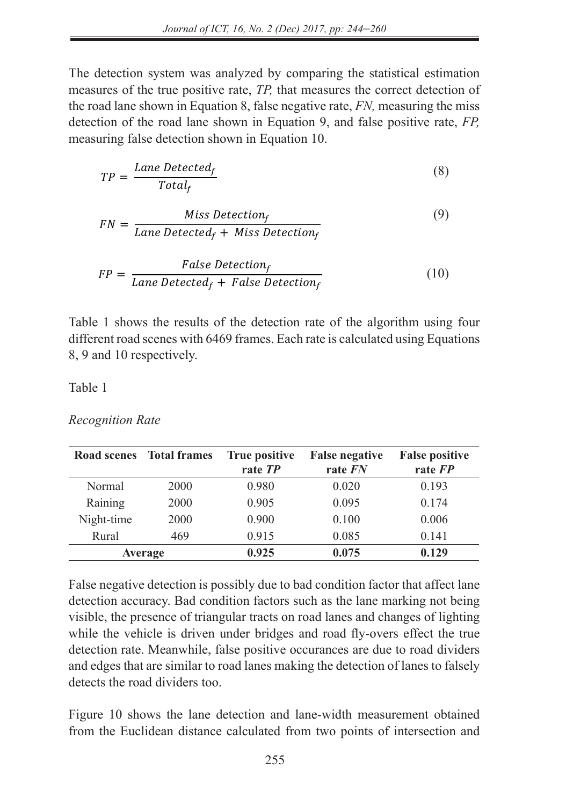The detection system was analyzed by comparing the statistical estimation measures of the true positive rate.  $TP$  that measures the correct detection of measures of the true positive rate, *TP*, that measures the correct detection of the road lane shown in Equation 8, false negative rate, *FN,* measuring the miss detection of the road lane shown in Equation 9, and false positive rate, *FP,* measuring false detection shown in Equation 10.

$$
TP = \frac{Lane \, detected_f}{Total_f} \tag{8}
$$

$$
FN = \frac{Miss Detection_f}{Lane \, detected_f + \, Miss \, Detection_f}
$$
 (9)

$$
FP = \frac{False \ Detection_f}{Lane \ Detection_f + False \ Detection_f}
$$
 (10)

Table 1 shows the results of the detection rate of the algorithm using four different road scenes with 6469 frames. Each rate is calculated using Equations 8, 9 and 10 respectively.

### Table 1

### *Recognition Rate*

|            | Road scenes Total frames | True positive<br>rate TP | <b>False negative</b><br>rate FN | <b>False positive</b><br>rate FP |
|------------|--------------------------|--------------------------|----------------------------------|----------------------------------|
| Normal     | 2000                     | 0.980                    | 0.020                            | 0.193                            |
| Raining    | 2000                     | 0.905                    | 0.095                            | 0.174                            |
| Night-time | 2000                     | 0.900                    | 0.100                            | 0.006                            |
| Rural      | 469                      | 0.915                    | 0.085                            | 0.141                            |
|            | Average                  | 0.925                    | 0.075                            | 0.129                            |

False negative detection is possibly due to bad condition factor that affect lane detection accuracy. Bad condition factors such as the lane marking not being visible, the presence of triangular tracts on road lanes and changes of lighting while the vehicle is driven under bridges and road fly-overs effect the true detection rate. Meanwhile, false positive occurances are due to road dividers and edges that are similar to road lanes making the detection of lanes to falsely detects the road dividers too.

Figure 10 shows the lane detection and lane-width measurement obtained from the Euclidean distance calculated from two points of intersection and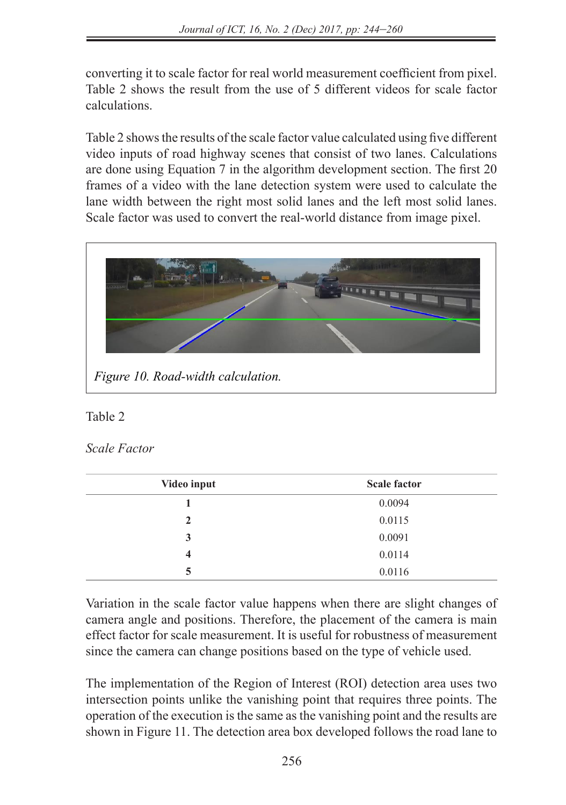converting it to scale factor for real world measurement coefficient from pixel. Table 2 shows the result from the use of 5 different videos for scale factor calculations.

Table 2 shows the results of the scale factor value calculated using five different video inputs of road highway scenes that consist of two lanes. Calculations video inputs of foad ingliway scenes that consist of two failes. Calculations are done using Equation 7 in the algorithm development section. The first 20 frames of a video with the lane detection system were used to calculate the realists of a video with the rane detection system were used to calculate the lanes of a video with the right most solid lanes and the left most solid lanes. Scale factor was used to convert the real-world distance from image pixel.  $F11Q1d1 = 100d1 + 10d1 + 10d1 + 11d1 + 01d1$ 



## Table 2

### *Scale Factor*

| Video input | <b>Scale factor</b> |  |
|-------------|---------------------|--|
|             | 0.0094              |  |
| 2           | 0.0115              |  |
| 3           | 0.0091              |  |
| 4           | 0.0114              |  |
| 5           | 0.0116              |  |

Variation in the scale factor value happens when there are slight changes of camera angle and positions. Therefore, the placement of the camera is main cancia angle and positions. Therefore, the placement of the cancia is main effect factor for scale measurement. It is useful for robustness of measurement since the camera can change positions based on the type of vehicle used.

> The implementation of the Region of Interest (ROI) detection area uses two intersection points unlike the vanishing point that requires three points. The operation of the execution is the same as the vanishing point and the results are shown in Figure 11. The detection area box developed follows the road lane to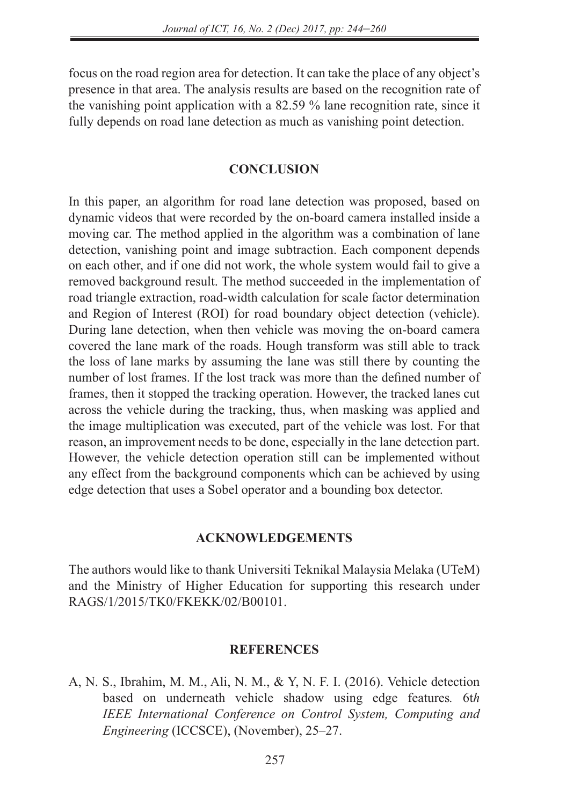focus on the road region area for detection. It can take the place of any object's presence in that area. The analysis results are based on the recognition rate of the vanishing point application with a 82.59 % lane recognition rate, since it fully depends on road lane detection as much as vanishing point detection.

### **CONCLUSION**

In this paper, an algorithm for road lane detection was proposed, based on dynamic videos that were recorded by the on-board camera installed inside a moving car. The method applied in the algorithm was a combination of lane detection, vanishing point and image subtraction. Each component depends on each other, and if one did not work, the whole system would fail to give a removed background result. The method succeeded in the implementation of road triangle extraction, road-width calculation for scale factor determination and Region of Interest (ROI) for road boundary object detection (vehicle). During lane detection, when then vehicle was moving the on-board camera covered the lane mark of the roads. Hough transform was still able to track the loss of lane marks by assuming the lane was still there by counting the number of lost frames. If the lost track was more than the defined number of frames, then it stopped the tracking operation. However, the tracked lanes cut across the vehicle during the tracking, thus, when masking was applied and the image multiplication was executed, part of the vehicle was lost. For that reason, an improvement needs to be done, especially in the lane detection part. However, the vehicle detection operation still can be implemented without any effect from the background components which can be achieved by using edge detection that uses a Sobel operator and a bounding box detector.

### **ACKNOWLEDGEMENTS**

The authors would like to thank Universiti Teknikal Malaysia Melaka (UTeM) and the Ministry of Higher Education for supporting this research under RAGS/1/2015/TK0/FKEKK/02/B00101.

### **REFERENCES**

A, N. S., Ibrahim, M. M., Ali, N. M., & Y, N. F. I. (2016). Vehicle detection based on underneath vehicle shadow using edge features*.* 6t*h IEEE International Conference on Control System, Computing and Engineering* (ICCSCE), (November), 25–27.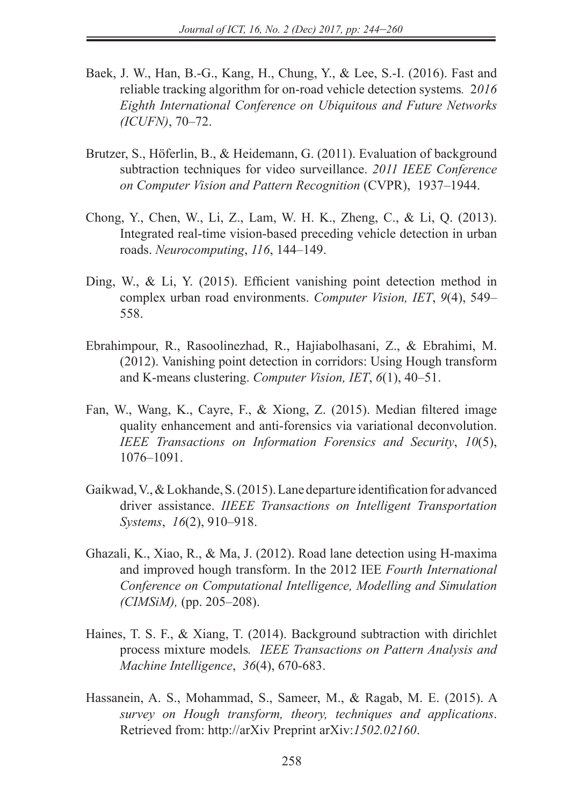- Baek, J. W., Han, B.-G., Kang, H., Chung, Y., & Lee, S.-I. (2016). Fast and reliable tracking algorithm for on-road vehicle detection systems*.* 2*016 Eighth International Conference on Ubiquitous and Future Networks (ICUFN)*, 70–72.
- Brutzer, S., Höferlin, B., & Heidemann, G. (2011). Evaluation of background subtraction techniques for video surveillance. *2011 IEEE Conference on Computer Vision and Pattern Recognition* (CVPR), 1937–1944.
- Chong, Y., Chen, W., Li, Z., Lam, W. H. K., Zheng, C., & Li, Q. (2013). Integrated real-time vision-based preceding vehicle detection in urban roads. *Neurocomputing*, *116*, 144–149.
- Ding, W., & Li, Y. (2015). Efficient vanishing point detection method in complex urban road environments. *Computer Vision, IET*, *9*(4), 549– 558.
- Ebrahimpour, R., Rasoolinezhad, R., Hajiabolhasani, Z., & Ebrahimi, M. (2012). Vanishing point detection in corridors: Using Hough transform and K-means clustering. *Computer Vision, IET*, *6*(1), 40–51.
- Fan, W., Wang, K., Cayre, F., & Xiong, Z. (2015). Median filtered image quality enhancement and anti-forensics via variational deconvolution. *IEEE Transactions on Information Forensics and Security*, *10*(5), 1076–1091.
- Gaikwad, V., & Lokhande, S. (2015). Lane departure identification for advanced driver assistance. *IIEEE Transactions on Intelligent Transportation Systems*, *16*(2), 910–918.
- Ghazali, K., Xiao, R., & Ma, J. (2012). Road lane detection using H-maxima and improved hough transform. In the 2012 IEE *Fourth International Conference on Computational Intelligence, Modelling and Simulation (CIMSiM),* (pp. 205–208).
- Haines, T. S. F., & Xiang, T. (2014). Background subtraction with dirichlet process mixture models*. IEEE Transactions on Pattern Analysis and Machine Intelligence*, *36*(4), 670-683.
- Hassanein, A. S., Mohammad, S., Sameer, M., & Ragab, M. E. (2015). A *survey on Hough transform, theory, techniques and applications*. Retrieved from: http://arXiv Preprint arXiv:*1502.02160*.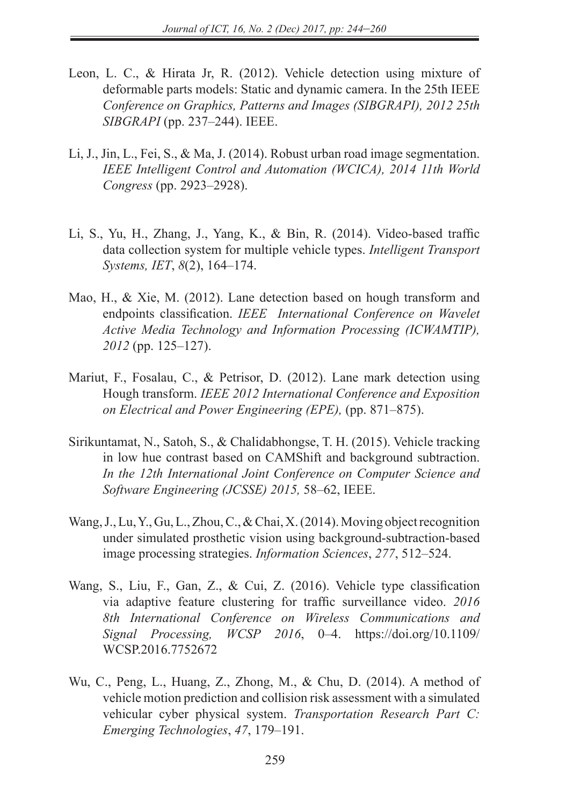- Leon, L. C., & Hirata Jr, R. (2012). Vehicle detection using mixture of deformable parts models: Static and dynamic camera. In the 25th IEEE *Conference on Graphics, Patterns and Images (SIBGRAPI), 2012 25th SIBGRAPI* (pp. 237–244). IEEE.
- Li, J., Jin, L., Fei, S., & Ma, J. (2014). Robust urban road image segmentation. *IEEE Intelligent Control and Automation (WCICA), 2014 11th World Congress* (pp. 2923–2928).
- Li, S., Yu, H., Zhang, J., Yang, K., & Bin, R. (2014). Video-based traffic data collection system for multiple vehicle types. *Intelligent Transport Systems, IET*, *8*(2), 164–174.
- Mao, H., & Xie, M. (2012). Lane detection based on hough transform and endpoints classification. *IEEE International Conference on Wavelet Active Media Technology and Information Processing (ICWAMTIP), 2012* (pp. 125–127).
- Mariut, F., Fosalau, C., & Petrisor, D. (2012). Lane mark detection using Hough transform. *IEEE 2012 International Conference and Exposition on Electrical and Power Engineering (EPE),* (pp. 871–875).
- Sirikuntamat, N., Satoh, S., & Chalidabhongse, T. H. (2015). Vehicle tracking in low hue contrast based on CAMShift and background subtraction. *In the 12th International Joint Conference on Computer Science and Software Engineering (JCSSE) 2015,* 58–62, IEEE.
- Wang, J., Lu, Y., Gu, L., Zhou, C., & Chai, X. (2014). Moving object recognition under simulated prosthetic vision using background-subtraction-based image processing strategies. *Information Sciences*, *277*, 512–524.
- Wang, S., Liu, F., Gan, Z., & Cui, Z. (2016). Vehicle type classification via adaptive feature clustering for traffic surveillance video. *2016 8th International Conference on Wireless Communications and Signal Processing, WCSP 2016*, 0–4. https://doi.org/10.1109/ WCSP.2016.7752672
- Wu, C., Peng, L., Huang, Z., Zhong, M., & Chu, D. (2014). A method of vehicle motion prediction and collision risk assessment with a simulated vehicular cyber physical system. *Transportation Research Part C: Emerging Technologies*, *47*, 179–191.